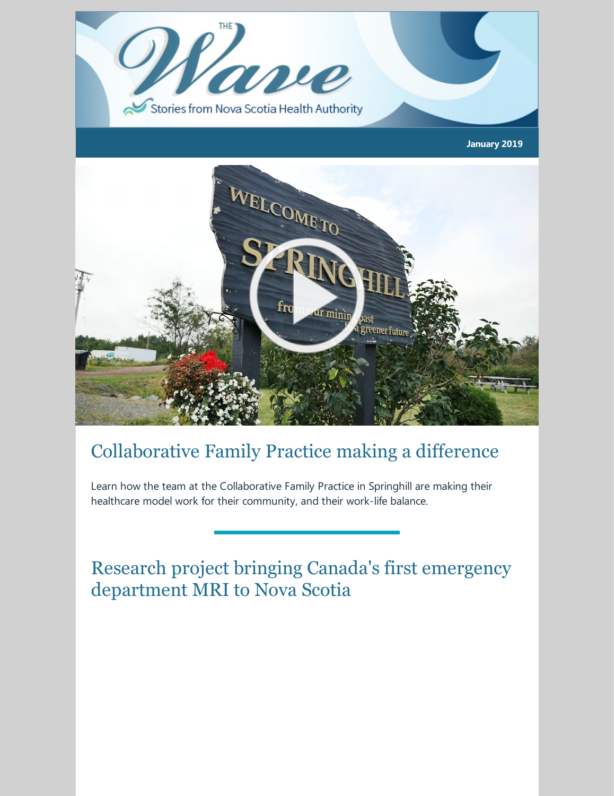

## Collaborative Family Practice making a difference

Learn how the team at the Collaborative Family Practice in Springhill are making their healthcare model work for their community, and their work-life balance.

Research project bringing Canada's first emergency department MRI to Nova Scotia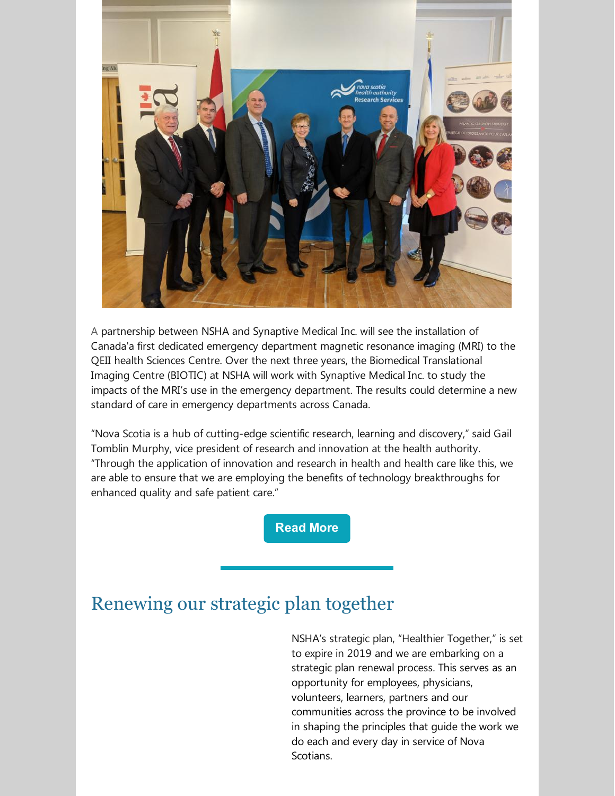

A partnership between NSHA and Synaptive Medical Inc. will see the installation of Canada'a first dedicated emergency department magnetic resonance imaging (MRI) to the QEII health Sciences Centre. Over the next three years, the Biomedical Translational Imaging Centre (BIOTIC) at NSHA will work with Synaptive Medical Inc. to study the impacts of the MRI's use in the emergency department. The results could determine a new standard of care in emergency departments across Canada.

"Nova Scotia is a hub of cutting-edge scientific research, learning and discovery," said Gail Tomblin Murphy, vice president of research and innovation at the health authority. "Through the application of innovation and research in health and health care like this, we are able to ensure that we are employing the benefits of technology breakthroughs for enhanced quality and safe patient care."

**[Read](https://novascotia.ca/news/release/?id=20190107001) More**

### Renewing our strategic plan together

NSHA's strategic plan, "Healthier Together," is set to expire in 2019 and we are embarking on a strategic plan renewal process. This serves as an opportunity for employees, physicians, volunteers, learners, partners and our communities across the province to be involved in shaping the principles that guide the work we do each and every day in service of Nova Scotians.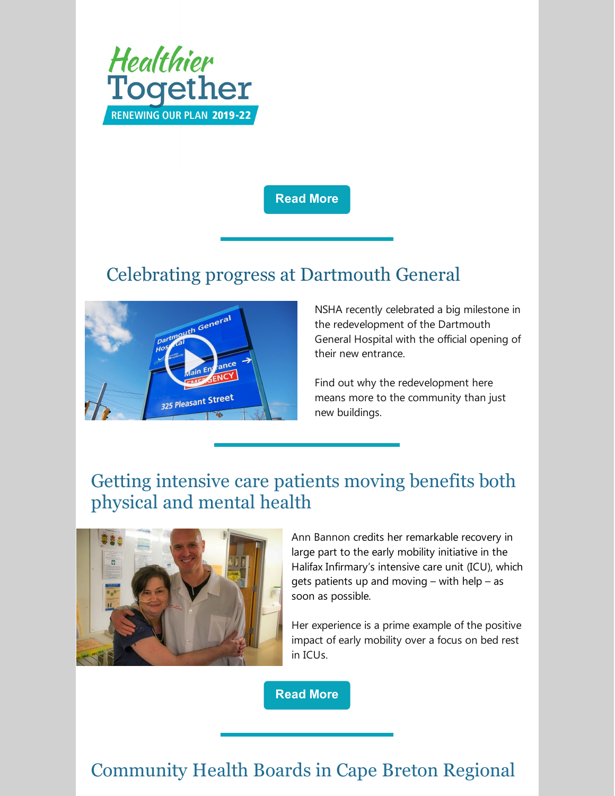

#### **[Read](http://www.nshealth.ca/renewing-our-plan) More**

### Celebrating progress at Dartmouth General



NSHA recently celebrated a big milestone in the redevelopment of the Dartmouth General Hospital with the official opening of their new entrance.

Find out why the redevelopment here means more to the community than just new buildings.

# Getting intensive care patients moving benefits both physical and mental health



Ann Bannon credits her remarkable recovery in large part to the early mobility initiative in the Halifax Infirmary's intensive care unit (ICU), which gets patients up and moving – with help – as soon as possible.

Her experience is a prime example of the positive impact of early mobility over a focus on bed rest in ICUs.

**[Read](http://www.nshealth.ca/news/totally-worth-it-getting-intensive-care-patients-moving-benefits-physical-and-mental-health) More**

### Community Health Boards in Cape Breton Regional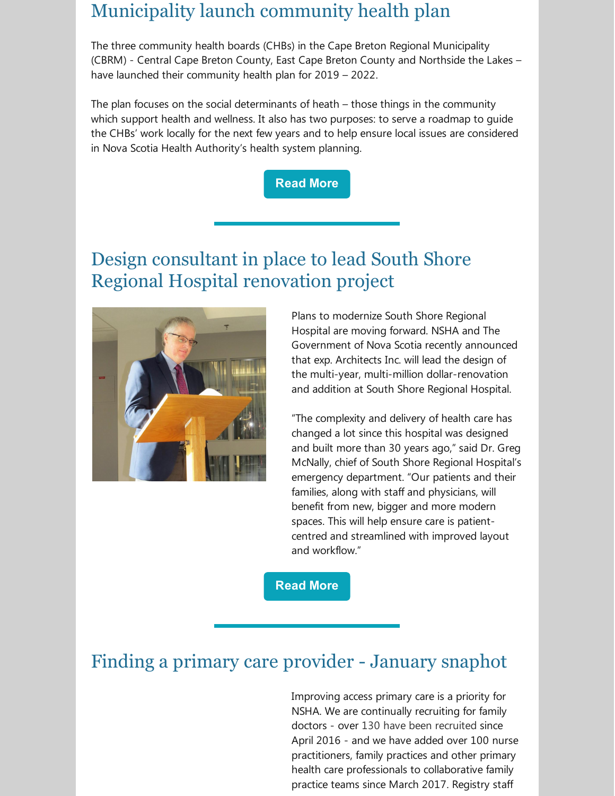#### Municipality launch community health plan

The three community health boards (CHBs) in the Cape Breton Regional Municipality (CBRM) - Central Cape Breton County, East Cape Breton County and Northside the Lakes – have launched their community health plan for 2019 – 2022.

The plan focuses on the social determinants of heath – those things in the community which support health and wellness. It also has two purposes: to serve a roadmap to guide the CHBs' work locally for the next few years and to help ensure local issues are considered in Nova Scotia Health Authority's health system planning.



## Design consultant in place to lead South Shore Regional Hospital renovation project



Plans to modernize South Shore Regional Hospital are moving forward. NSHA and The Government of Nova Scotia recently announced that exp. Architects Inc. will lead the design of the multi-year, multi-million dollar-renovation and addition at South Shore Regional Hospital.

"The complexity and delivery of health care has changed a lot since this hospital was designed and built more than 30 years ago," said Dr. Greg McNally, chief of South Shore Regional Hospital's emergency department. "Our patients and their families, along with staff and physicians, will benefit from new, bigger and more modern spaces. This will help ensure care is patientcentred and streamlined with improved layout and workflow."

**[Read](http://www.nshealth.ca/news/nova-scotia-health-authority-and-government-nova-scotia-announce-architects-will-lead-south) More**

## Finding a primary care provider - January snaphot

Improving access primary care is a priority for NSHA. We are continually recruiting for family doctors - over 130 have been [recruited](http://www.nshealth.ca/reports-statistics-and-accountability#physician-recruitment-reporting) since April 2016 - and we have added over 100 nurse practitioners, family practices and other primary health care professionals to collaborative family practice teams since March 2017. Registry staff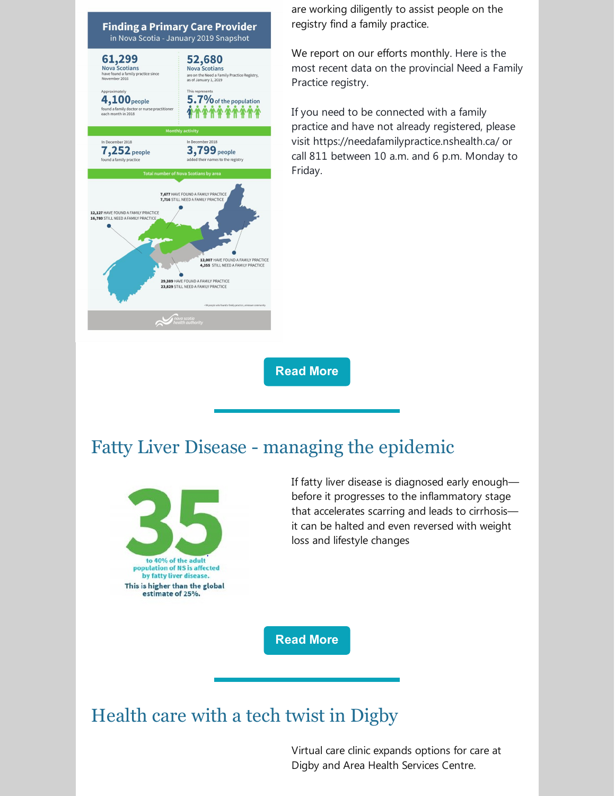

are working diligently to assist people on the registry find a family practice.

We report on our efforts monthly. Here is the most recent data on the provincial Need a Family Practice registry.

If you need to be connected with a family practice and have not already registered, please visit [https://needafamilypractice.nshealth.ca/](https://needafamilypractice.nshealth.ca/?fbclid=IwAR1clj9FVwHmg-oFKN8vDrw4dCeQ4Eab2_C83Nrqa0VlXIrz2LEn9GVhqB4) or call 811 between 10 a.m. and 6 p.m. Monday to Friday.

**[Read](http://www.nshealth.ca/sites/nshealth.ca/files/finding_a_primary_care_provider_in_ns_-_public_-_january_2019-v2.pdf) More**

#### Fatty Liver Disease - managing the epidemic



If fatty liver disease is diagnosed early enough before it progresses to the inflammatory stage that accelerates scarring and leads to cirrhosis it can be halted and even reversed with weight loss and lifestyle changes

**[Read](http://www.nshealth.ca/news/fatty-liver-disease-managing-epidemic) More**

Health care with a tech twist in Digby

Virtual care clinic expands options for care at Digby and Area Health Services Centre.